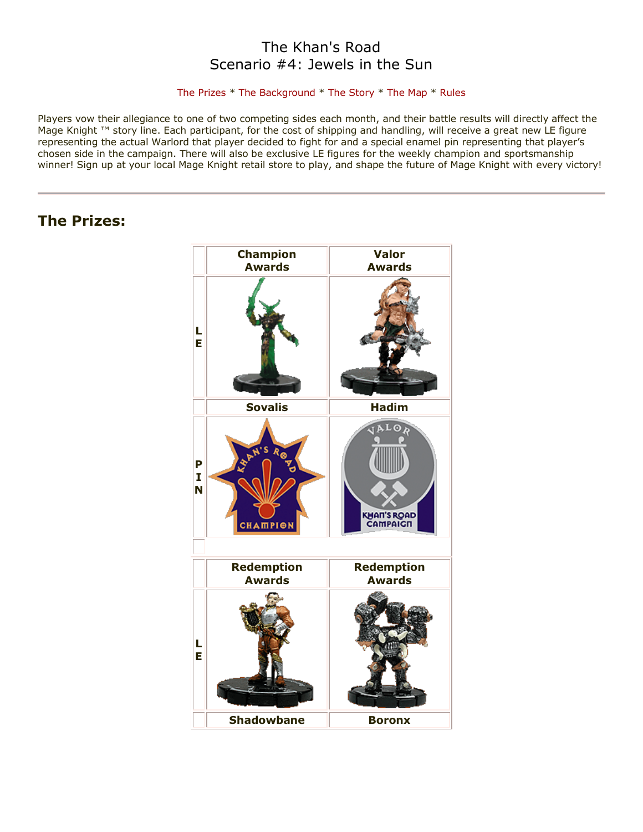# The Khan's Road Scenario #4: Jewels in the Sun

### [The Prizes](http://www.wizkidsgames.com/mageknight/article.asp?cid=37209&frame=Talesfromtheland#prizes#prizes) \* [The Background](http://www.wizkidsgames.com/mageknight/article.asp?cid=37209&frame=Talesfromtheland#background#background) \* [The Story](http://www.wizkidsgames.com/mageknight/article.asp?cid=37209&frame=Talesfromtheland#story#story) \* [The Map](http://www.wizkidsgames.com/mageknight/article.asp?cid=37209&frame=Talesfromtheland#map#map) \* [Rules](http://www.wizkidsgames.com/mageknight/article.asp?cid=37209&frame=Talesfromtheland#week#week)

Players vow their allegiance to one of two competing sides each month, and their battle results will directly affect the Mage Knight ™ story line. Each participant, for the cost of shipping and handling, will receive a great new LE figure representing the actual Warlord that player decided to fight for and a special enamel pin representing that player's chosen side in the campaign. There will also be exclusive LE figures for the weekly champion and sportsmanship winner! Sign up at your local Mage Knight retail store to play, and shape the future of Mage Knight with every victory!

# **The Prizes:**

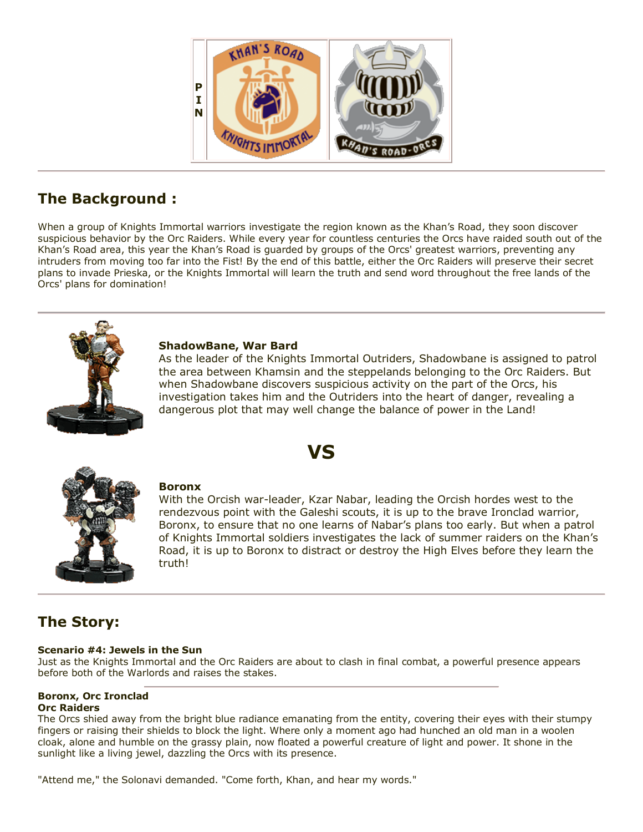

# **The Background :**

When a group of Knights Immortal warriors investigate the region known as the Khan's Road, they soon discover suspicious behavior by the Orc Raiders. While every year for countless centuries the Orcs have raided south out of the Khan's Road area, this year the Khan's Road is guarded by groups of the Orcs' greatest warriors, preventing any intruders from moving too far into the Fist! By the end of this battle, either the Orc Raiders will preserve their secret plans to invade Prieska, or the Knights Immortal will learn the truth and send word throughout the free lands of the Orcs' plans for domination!

**VS**



## **ShadowBane, War Bard**

As the leader of the Knights Immortal Outriders, Shadowbane is assigned to patrol the area between Khamsin and the steppelands belonging to the Orc Raiders. But when Shadowbane discovers suspicious activity on the part of the Orcs, his investigation takes him and the Outriders into the heart of danger, revealing a dangerous plot that may well change the balance of power in the Land!



## **Boronx**

With the Orcish war-leader, Kzar Nabar, leading the Orcish hordes west to the rendezvous point with the Galeshi scouts, it is up to the brave Ironclad warrior, Boronx, to ensure that no one learns of Nabar's plans too early. But when a patrol of Knights Immortal soldiers investigates the lack of summer raiders on the Khan's Road, it is up to Boronx to distract or destroy the High Elves before they learn the truth!

# **The Story:**

## **Scenario #4: Jewels in the Sun**

Just as the Knights Immortal and the Orc Raiders are about to clash in final combat, a powerful presence appears before both of the Warlords and raises the stakes.

# **Boronx, Orc Ironclad**

#### **Orc Raiders**

The Orcs shied away from the bright blue radiance emanating from the entity, covering their eyes with their stumpy fingers or raising their shields to block the light. Where only a moment ago had hunched an old man in a woolen cloak, alone and humble on the grassy plain, now floated a powerful creature of light and power. It shone in the sunlight like a living jewel, dazzling the Orcs with its presence.

"Attend me," the Solonavi demanded. "Come forth, Khan, and hear my words."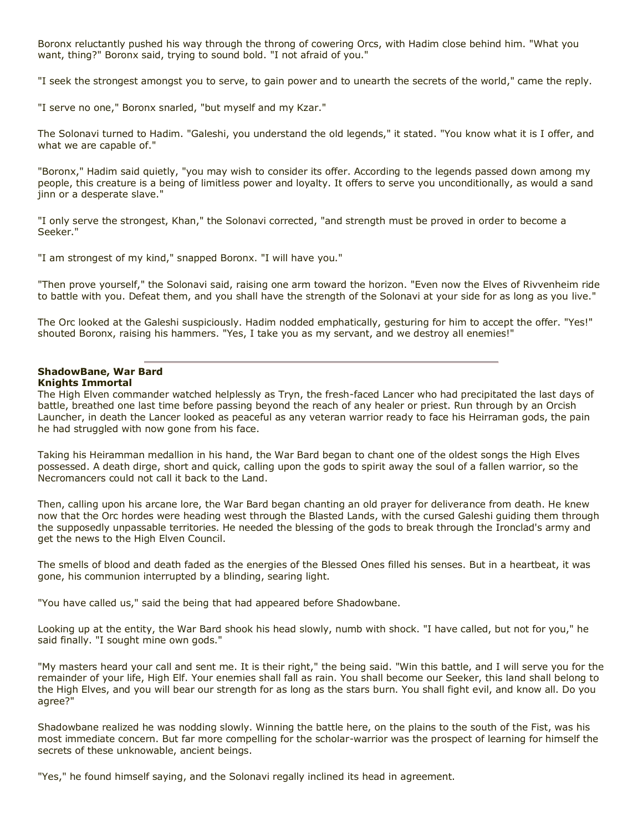Boronx reluctantly pushed his way through the throng of cowering Orcs, with Hadim close behind him. "What you want, thing?" Boronx said, trying to sound bold. "I not afraid of you."

"I seek the strongest amongst you to serve, to gain power and to unearth the secrets of the world," came the reply.

"I serve no one," Boronx snarled, "but myself and my Kzar."

The Solonavi turned to Hadim. "Galeshi, you understand the old legends," it stated. "You know what it is I offer, and what we are capable of."

"Boronx," Hadim said quietly, "you may wish to consider its offer. According to the legends passed down among my people, this creature is a being of limitless power and loyalty. It offers to serve you unconditionally, as would a sand jinn or a desperate slave."

"I only serve the strongest, Khan," the Solonavi corrected, "and strength must be proved in order to become a Seeker."

"I am strongest of my kind," snapped Boronx. "I will have you."

"Then prove yourself," the Solonavi said, raising one arm toward the horizon. "Even now the Elves of Rivvenheim ride to battle with you. Defeat them, and you shall have the strength of the Solonavi at your side for as long as you live."

The Orc looked at the Galeshi suspiciously. Hadim nodded emphatically, gesturing for him to accept the offer. "Yes!" shouted Boronx, raising his hammers. "Yes, I take you as my servant, and we destroy all enemies!"

#### **ShadowBane, War Bard Knights Immortal**

The High Elven commander watched helplessly as Tryn, the fresh-faced Lancer who had precipitated the last days of battle, breathed one last time before passing beyond the reach of any healer or priest. Run through by an Orcish Launcher, in death the Lancer looked as peaceful as any veteran warrior ready to face his Heirraman gods, the pain he had struggled with now gone from his face.

Taking his Heiramman medallion in his hand, the War Bard began to chant one of the oldest songs the High Elves possessed. A death dirge, short and quick, calling upon the gods to spirit away the soul of a fallen warrior, so the Necromancers could not call it back to the Land.

Then, calling upon his arcane lore, the War Bard began chanting an old prayer for deliverance from death. He knew now that the Orc hordes were heading west through the Blasted Lands, with the cursed Galeshi guiding them through the supposedly unpassable territories. He needed the blessing of the gods to break through the Ironclad's army and get the news to the High Elven Council.

The smells of blood and death faded as the energies of the Blessed Ones filled his senses. But in a heartbeat, it was gone, his communion interrupted by a blinding, searing light.

"You have called us," said the being that had appeared before Shadowbane.

Looking up at the entity, the War Bard shook his head slowly, numb with shock. "I have called, but not for you," he said finally. "I sought mine own gods."

"My masters heard your call and sent me. It is their right," the being said. "Win this battle, and I will serve you for the remainder of your life, High Elf. Your enemies shall fall as rain. You shall become our Seeker, this land shall belong to the High Elves, and you will bear our strength for as long as the stars burn. You shall fight evil, and know all. Do you agree?"

Shadowbane realized he was nodding slowly. Winning the battle here, on the plains to the south of the Fist, was his most immediate concern. But far more compelling for the scholar-warrior was the prospect of learning for himself the secrets of these unknowable, ancient beings.

"Yes," he found himself saying, and the Solonavi regally inclined its head in agreement.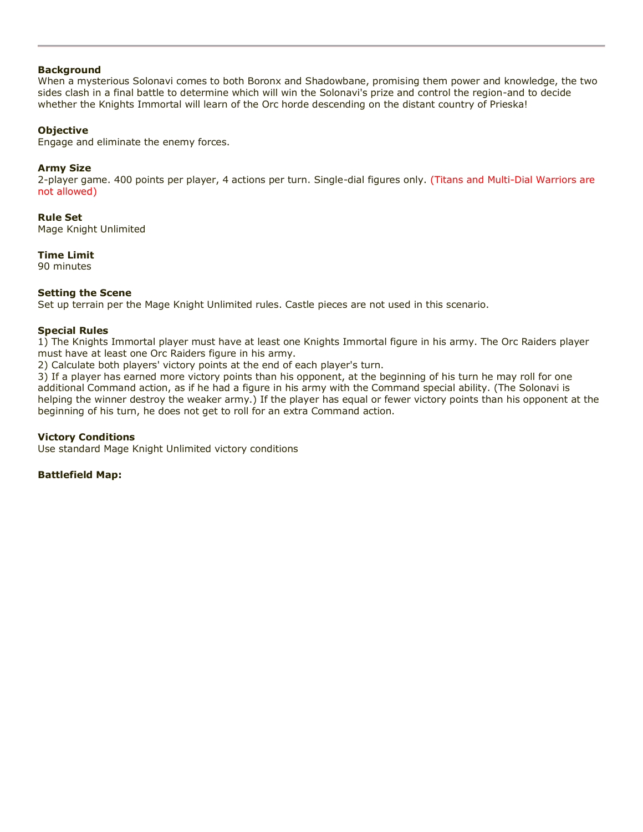#### **Background**

When a mysterious Solonavi comes to both Boronx and Shadowbane, promising them power and knowledge, the two sides clash in a final battle to determine which will win the Solonavi's prize and control the region-and to decide whether the Knights Immortal will learn of the Orc horde descending on the distant country of Prieska!

### **Objective**

Engage and eliminate the enemy forces.

#### **Army Size**

2-player game. 400 points per player, 4 actions per turn. Single-dial figures only. (Titans and Multi-Dial Warriors are not allowed)

**Rule Set** Mage Knight Unlimited

**Time Limit**

90 minutes

#### **Setting the Scene**

Set up terrain per the Mage Knight Unlimited rules. Castle pieces are not used in this scenario.

#### **Special Rules**

1) The Knights Immortal player must have at least one Knights Immortal figure in his army. The Orc Raiders player must have at least one Orc Raiders figure in his army.

2) Calculate both players' victory points at the end of each player's turn.

3) If a player has earned more victory points than his opponent, at the beginning of his turn he may roll for one additional Command action, as if he had a figure in his army with the Command special ability. (The Solonavi is helping the winner destroy the weaker army.) If the player has equal or fewer victory points than his opponent at the beginning of his turn, he does not get to roll for an extra Command action.

#### **Victory Conditions**

Use standard Mage Knight Unlimited victory conditions

#### **Battlefield Map:**